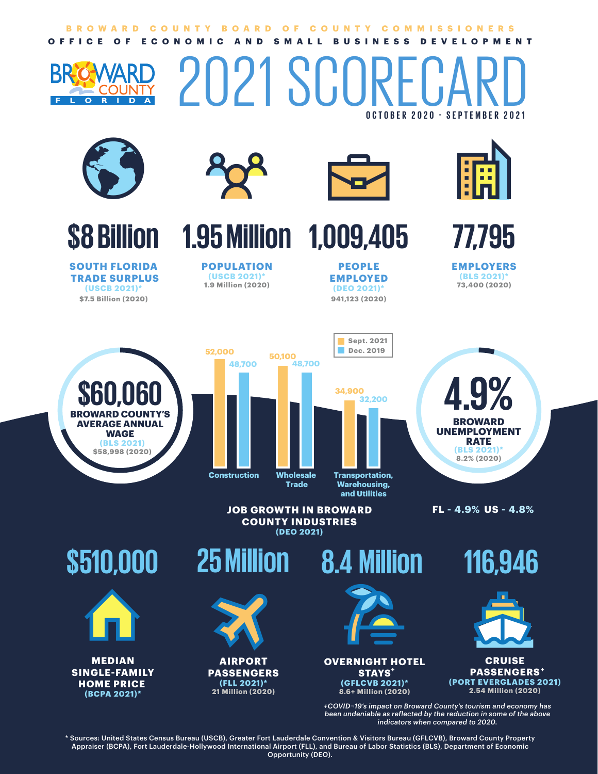### **OFFICE OF ECONOMIC AND SMALL BUSINESS DEVELOPMENT BROWARD COUNTY BOARD OF COUNTY COMMISSIONERS**

# **OCTOBER 2020 - SEPTEMBER 2021** 2021 SCORF







**SOUTH FLORIDA TRADE SURPLUS (USCB 2021)\* \$7.5 Billion (2020) 941,123 (2020)**



**POPULATION (USCB 2021)\* 1.9 Million (2020)**



**1.95 Million 1,009,405**

**PEOPLE EMPLOYED (DEO 2021)\***



**77,795**

**EMPLOYERS (BLS 2021) 73,400 (2020)**

**\$60,060 (BLS 2021) \$58,998 (2020) BROWARD COUNTY'S AVERAGE ANNUAL WAGE Construction Wholesale 52,000 48,700 50,100**





**FL - 4.9% US - 4.8%**

**\$510,000**



**MEDIAN SINGLE-FAMILY HOME PRICE (BCPA 2021)\***



**JOB GROWTH IN BROWARD COUNTY INDUSTRIES**

**AIRPORT PASSENGERS (FLL 2021)\* 21 Million (2020)**





**OVERNIGHT HOTEL STAYS + (GFLCVB 2021)\* 8.6+ Million (2020)**

**116,946**





*+COVID*¬*19's impact on Broward County's tourism and economy has been undeniable as reflected by the reduction in some of the above indicators when compared to 2020.*

\* Sources: United States Census Bureau (USCB), Greater Fort Lauderdale Convention & Visitors Bureau (GFLCVB), Broward County Property Appraiser (BCPA), Fort Lauderdale-Hollywood International Airport (FLL), and Bureau of Labor Statistics (BLS), Department of Economic Opportunity (DEO).